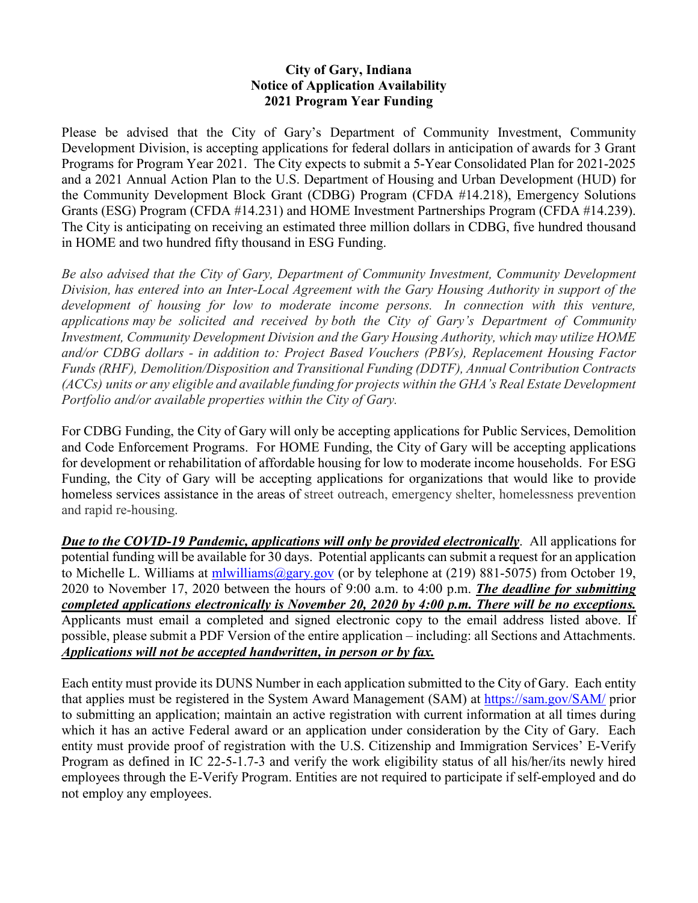## **City of Gary, Indiana Notice of Application Availability 2021 Program Year Funding**

Please be advised that the City of Gary's Department of Community Investment, Community Development Division, is accepting applications for federal dollars in anticipation of awards for 3 Grant Programs for Program Year 2021. The City expects to submit a 5-Year Consolidated Plan for 2021-2025 and a 2021 Annual Action Plan to the U.S. Department of Housing and Urban Development (HUD) for the Community Development Block Grant (CDBG) Program (CFDA #14.218), Emergency Solutions Grants (ESG) Program (CFDA #14.231) and HOME Investment Partnerships Program (CFDA #14.239). The City is anticipating on receiving an estimated three million dollars in CDBG, five hundred thousand in HOME and two hundred fifty thousand in ESG Funding.

*Be also advised that the City of Gary, Department of Community Investment, Community Development Division, has entered into an Inter-Local Agreement with the Gary Housing Authority in support of the development of housing for low to moderate income persons. In connection with this venture, applications may be solicited and received by both the City of Gary's Department of Community Investment, Community Development Division and the Gary Housing Authority, which may utilize HOME and/or CDBG dollars - in addition to: Project Based Vouchers (PBVs), Replacement Housing Factor Funds (RHF), Demolition/Disposition and Transitional Funding (DDTF), Annual Contribution Contracts (ACCs) units or any eligible and available funding for projects within the GHA's Real Estate Development Portfolio and/or available properties within the City of Gary.* 

For CDBG Funding, the City of Gary will only be accepting applications for Public Services, Demolition and Code Enforcement Programs. For HOME Funding, the City of Gary will be accepting applications for development or rehabilitation of affordable housing for low to moderate income households. For ESG Funding, the City of Gary will be accepting applications for organizations that would like to provide homeless services assistance in the areas of street outreach, emergency shelter, homelessness prevention and rapid re-housing.

*Due to the COVID-19 Pandemic, applications will only be provided electronically*. All applications for potential funding will be available for 30 days. Potential applicants can submit a request for an application to Michelle L. Williams at [mlwilliams@gary.gov](mailto:mlwilliams@gary.gov) (or by telephone at (219) 881-5075) from October 19, 2020 to November 17, 2020 between the hours of 9:00 a.m. to 4:00 p.m. *The deadline for submitting completed applications electronically is November 20, 2020 by 4:00 p.m. There will be no exceptions.* Applicants must email a completed and signed electronic copy to the email address listed above. If possible, please submit a PDF Version of the entire application – including: all Sections and Attachments. *Applications will not be accepted handwritten, in person or by fax.*

Each entity must provide its DUNS Number in each application submitted to the City of Gary. Each entity that applies must be registered in the System Award Management (SAM) at<https://sam.gov/SAM/> prior to submitting an application; maintain an active registration with current information at all times during which it has an active Federal award or an application under consideration by the City of Gary. Each entity must provide proof of registration with the U.S. Citizenship and Immigration Services' E-Verify Program as defined in IC 22-5-1.7-3 and verify the work eligibility status of all his/her/its newly hired employees through the E-Verify Program. Entities are not required to participate if self-employed and do not employ any employees.